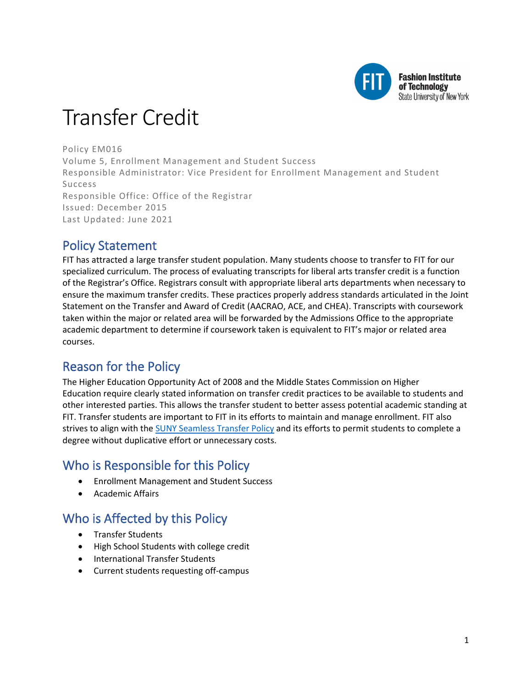

# Transfer Credit

Policy EM016 Volume 5, Enrollment Management and Student Success Responsible Administrator: Vice President for Enrollment Management and Student Success Responsible Office: Office of the Registrar Issued: December 2015 Last Updated: June 2021

# Policy Statement

FIT has attracted a large transfer student population. Many students choose to transfer to FIT for our specialized curriculum. The process of evaluating transcripts for liberal arts transfer credit is a function of the Registrar's Office. Registrars consult with appropriate liberal arts departments when necessary to ensure the maximum transfer credits. These practices properly address standards articulated in the Joint Statement on the Transfer and Award of Credit (AACRAO, ACE, and CHEA). Transcripts with coursework taken within the major or related area will be forwarded by the Admissions Office to the appropriate academic department to determine if coursework taken is equivalent to FIT's major or related area courses.

# Reason for the Policy

The Higher Education Opportunity Act of 2008 and the Middle States Commission on Higher Education require clearly stated information on transfer credit practices to be available to students and other interested parties. This allows the transfer student to better assess potential academic standing at FIT. Transfer students are important to FIT in its efforts to maintain and manage enrollment. FIT also strives to align with the [SUNY Seamless Transfer Policy](http://system.suny.edu/media/suny/content-assets/documents/academic-affairs/Seamless-Transfer-Final2BOT-12-4-12.pdf) and its efforts to permit students to complete a degree without duplicative effort or unnecessary costs.

# Who is Responsible for this Policy

- Enrollment Management and Student Success
- Academic Affairs

# Who is Affected by this Policy

- Transfer Students
- High School Students with college credit
- International Transfer Students
- Current students requesting off-campus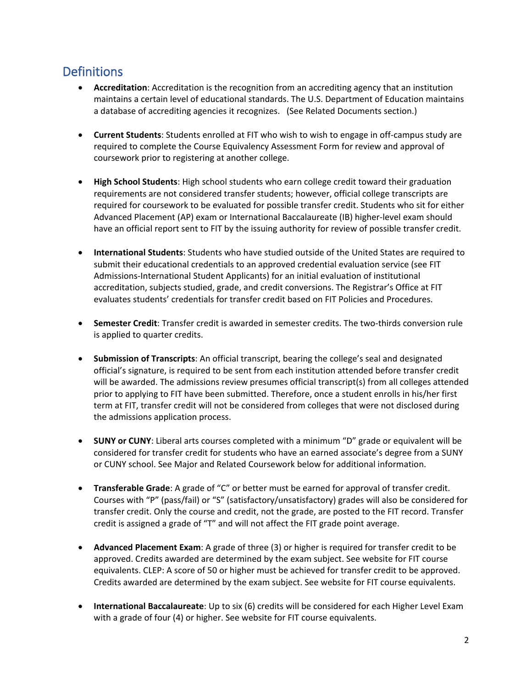# **Definitions**

- **Accreditation**: Accreditation is the recognition from an accrediting agency that an institution maintains a certain level of educational standards. The U.S. Department of Education maintains a database of accrediting agencies it recognizes. (See Related Documents section.)
- **Current Students**: Students enrolled at FIT who wish to wish to engage in off-campus study are required to complete the Course Equivalency Assessment Form for review and approval of coursework prior to registering at another college.
- **High School Students**: High school students who earn college credit toward their graduation requirements are not considered transfer students; however, official college transcripts are required for coursework to be evaluated for possible transfer credit. Students who sit for either Advanced Placement (AP) exam or International Baccalaureate (IB) higher-level exam should have an official report sent to FIT by the issuing authority for review of possible transfer credit.
- **International Students**: Students who have studied outside of the United States are required to submit their educational credentials to an approved credential evaluation service (see FIT Admissions-International Student Applicants) for an initial evaluation of institutional accreditation, subjects studied, grade, and credit conversions. The Registrar's Office at FIT evaluates students' credentials for transfer credit based on FIT Policies and Procedures.
- **Semester Credit**: Transfer credit is awarded in semester credits. The two-thirds conversion rule is applied to quarter credits.
- **Submission of Transcripts**: An official transcript, bearing the college's seal and designated official's signature, is required to be sent from each institution attended before transfer credit will be awarded. The admissions review presumes official transcript(s) from all colleges attended prior to applying to FIT have been submitted. Therefore, once a student enrolls in his/her first term at FIT, transfer credit will not be considered from colleges that were not disclosed during the admissions application process.
- **SUNY or CUNY**: Liberal arts courses completed with a minimum "D" grade or equivalent will be considered for transfer credit for students who have an earned associate's degree from a SUNY or CUNY school. See Major and Related Coursework below for additional information.
- **Transferable Grade**: A grade of "C" or better must be earned for approval of transfer credit. Courses with "P" (pass/fail) or "S" (satisfactory/unsatisfactory) grades will also be considered for transfer credit. Only the course and credit, not the grade, are posted to the FIT record. Transfer credit is assigned a grade of "T" and will not affect the FIT grade point average.
- **Advanced Placement Exam**: A grade of three (3) or higher is required for transfer credit to be approved. Credits awarded are determined by the exam subject. See website for FIT course equivalents. CLEP: A score of 50 or higher must be achieved for transfer credit to be approved. Credits awarded are determined by the exam subject. See website for FIT course equivalents.
- **International Baccalaureate**: Up to six (6) credits will be considered for each Higher Level Exam with a grade of four (4) or higher. See website for FIT course equivalents.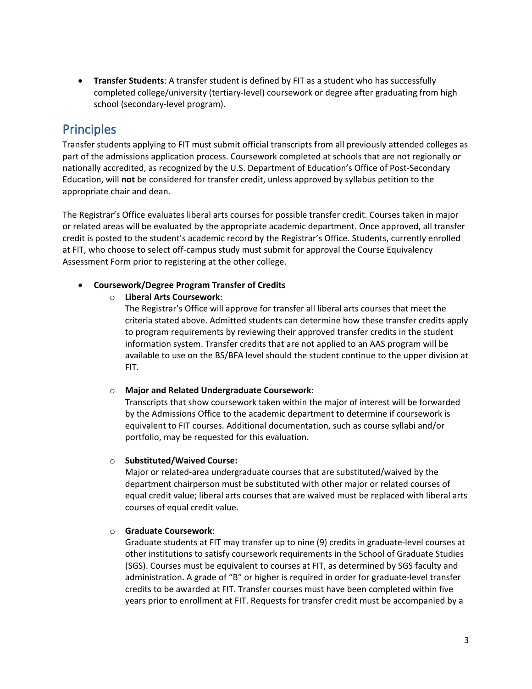• **Transfer Students**: A transfer student is defined by FIT as a student who has successfully completed college/university (tertiary-level) coursework or degree after graduating from high school (secondary-level program).

# **Principles**

Transfer students applying to FIT must submit official transcripts from all previously attended colleges as part of the admissions application process. Coursework completed at schools that are not regionally or nationally accredited, as recognized by the U.S. Department of Education's Office of Post-Secondary Education, will **not** be considered for transfer credit, unless approved by syllabus petition to the appropriate chair and dean.

The Registrar's Office evaluates liberal arts courses for possible transfer credit. Courses taken in major or related areas will be evaluated by the appropriate academic department. Once approved, all transfer credit is posted to the student's academic record by the Registrar's Office. Students, currently enrolled at FIT, who choose to select off-campus study must submit for approval the Course Equivalency Assessment Form prior to registering at the other college.

• **Coursework/Degree Program Transfer of Credits**

### o **Liberal Arts Coursework**:

The Registrar's Office will approve for transfer all liberal arts courses that meet the criteria stated above. Admitted students can determine how these transfer credits apply to program requirements by reviewing their approved transfer credits in the student information system. Transfer credits that are not applied to an AAS program will be available to use on the BS/BFA level should the student continue to the upper division at FIT.

### o **Major and Related Undergraduate Coursework**:

Transcripts that show coursework taken within the major of interest will be forwarded by the Admissions Office to the academic department to determine if coursework is equivalent to FIT courses. Additional documentation, such as course syllabi and/or portfolio, may be requested for this evaluation.

### o **Substituted/Waived Course:**

Major or related-area undergraduate courses that are substituted/waived by the department chairperson must be substituted with other major or related courses of equal credit value; liberal arts courses that are waived must be replaced with liberal arts courses of equal credit value.

### o **Graduate Coursework**:

Graduate students at FIT may transfer up to nine (9) credits in graduate-level courses at other institutions to satisfy coursework requirements in the School of Graduate Studies (SGS). Courses must be equivalent to courses at FIT, as determined by SGS faculty and administration. A grade of "B" or higher is required in order for graduate-level transfer credits to be awarded at FIT. Transfer courses must have been completed within five years prior to enrollment at FIT. Requests for transfer credit must be accompanied by a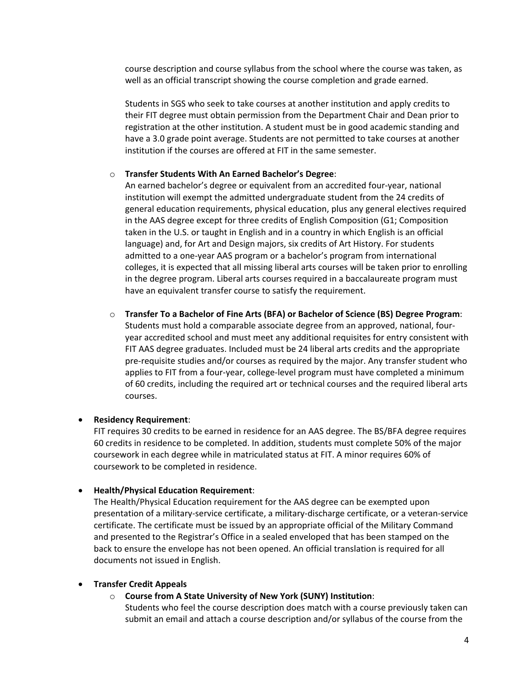course description and course syllabus from the school where the course was taken, as well as an official transcript showing the course completion and grade earned.

Students in SGS who seek to take courses at another institution and apply credits to their FIT degree must obtain permission from the Department Chair and Dean prior to registration at the other institution. A student must be in good academic standing and have a 3.0 grade point average. Students are not permitted to take courses at another institution if the courses are offered at FIT in the same semester.

#### o **Transfer Students With An Earned Bachelor's Degree**:

An earned bachelor's degree or equivalent from an accredited four-year, national institution will exempt the admitted undergraduate student from the 24 credits of general education requirements, physical education, plus any general electives required in the AAS degree except for three credits of English Composition (G1; Composition taken in the U.S. or taught in English and in a country in which English is an official language) and, for Art and Design majors, six credits of Art History. For students admitted to a one-year AAS program or a bachelor's program from international colleges, it is expected that all missing liberal arts courses will be taken prior to enrolling in the degree program. Liberal arts courses required in a baccalaureate program must have an equivalent transfer course to satisfy the requirement.

o **Transfer To a Bachelor of Fine Arts (BFA) or Bachelor of Science (BS) Degree Program**: Students must hold a comparable associate degree from an approved, national, fouryear accredited school and must meet any additional requisites for entry consistent with FIT AAS degree graduates. Included must be 24 liberal arts credits and the appropriate pre-requisite studies and/or courses as required by the major. Any transfer student who applies to FIT from a four-year, college-level program must have completed a minimum of 60 credits, including the required art or technical courses and the required liberal arts courses.

#### • **Residency Requirement**:

FIT requires 30 credits to be earned in residence for an AAS degree. The BS/BFA degree requires 60 credits in residence to be completed. In addition, students must complete 50% of the major coursework in each degree while in matriculated status at FIT. A minor requires 60% of coursework to be completed in residence.

#### • **Health/Physical Education Requirement**:

The Health/Physical Education requirement for the AAS degree can be exempted upon presentation of a military-service certificate, a military-discharge certificate, or a veteran-service certificate. The certificate must be issued by an appropriate official of the Military Command and presented to the Registrar's Office in a sealed enveloped that has been stamped on the back to ensure the envelope has not been opened. An official translation is required for all documents not issued in English.

#### • **Transfer Credit Appeals**

#### o **Course from A State University of New York (SUNY) Institution**:

Students who feel the course description does match with a course previously taken can submit an email and attach a course description and/or syllabus of the course from the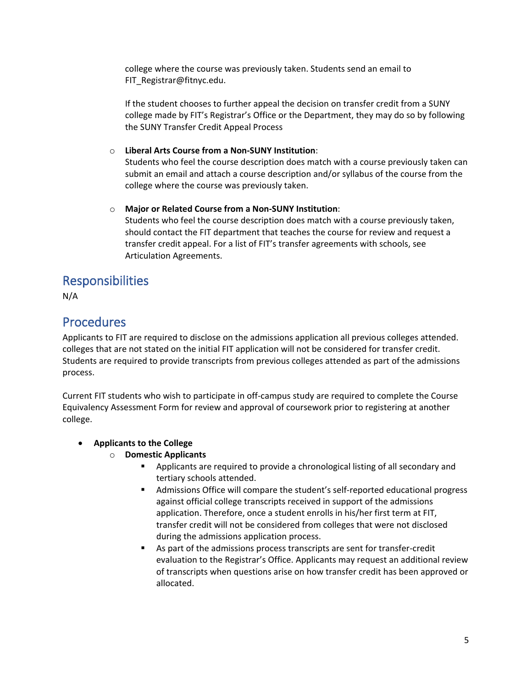college where the course was previously taken. Students send an email to FIT\_Registrar@fitnyc.edu.

If the student chooses to further appeal the decision on transfer credit from a SUNY college made by FIT's Registrar's Office or the Department, they may do so by following the SUNY Transfer Credit Appeal Process

### o **Liberal Arts Course from a Non-SUNY Institution**:

Students who feel the course description does match with a course previously taken can submit an email and attach a course description and/or syllabus of the course from the college where the course was previously taken.

### o **Major or Related Course from a Non-SUNY Institution**:

Students who feel the course description does match with a course previously taken, should contact the FIT department that teaches the course for review and request a transfer credit appeal. For a list of FIT's transfer agreements with schools, see Articulation Agreements.

## Responsibilities

N/A

# Procedures

Applicants to FIT are required to disclose on the admissions application all previous colleges attended. colleges that are not stated on the initial FIT application will not be considered for transfer credit. Students are required to provide transcripts from previous colleges attended as part of the admissions process.

Current FIT students who wish to participate in off-campus study are required to complete the Course Equivalency Assessment Form for review and approval of coursework prior to registering at another college.

- **Applicants to the College**
	- o **Domestic Applicants**
		- Applicants are required to provide a chronological listing of all secondary and tertiary schools attended.
		- Admissions Office will compare the student's self-reported educational progress against official college transcripts received in support of the admissions application. Therefore, once a student enrolls in his/her first term at FIT, transfer credit will not be considered from colleges that were not disclosed during the admissions application process.
		- As part of the admissions process transcripts are sent for transfer-credit evaluation to the Registrar's Office. Applicants may request an additional review of transcripts when questions arise on how transfer credit has been approved or allocated.